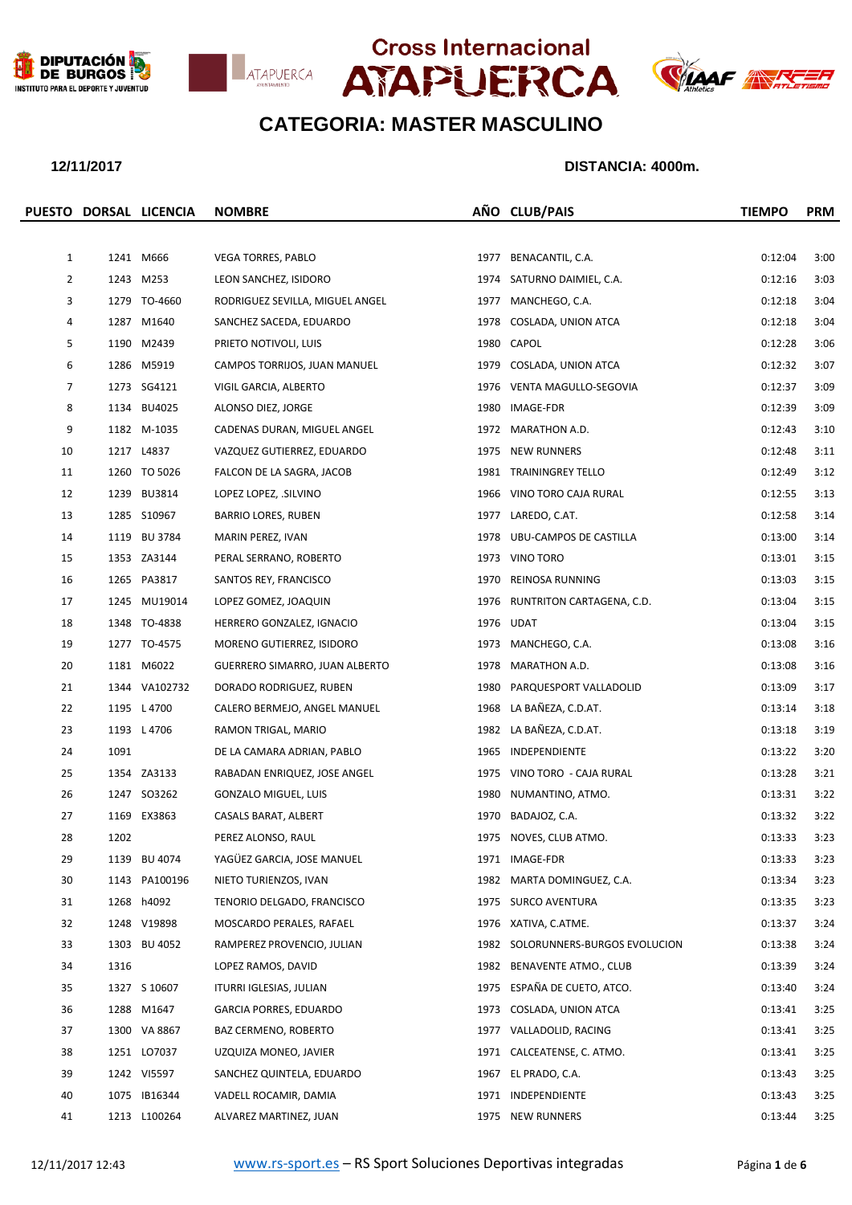







|                |      | PUESTO DORSAL LICENCIA | <b>NOMBRE</b>                   |      | AÑO CLUB/PAIS                     | <b>TIEMPO</b> | <b>PRM</b> |
|----------------|------|------------------------|---------------------------------|------|-----------------------------------|---------------|------------|
|                |      |                        |                                 |      |                                   |               |            |
| $\mathbf{1}$   |      | 1241 M666              | <b>VEGA TORRES, PABLO</b>       |      | 1977 BENACANTIL, C.A.             | 0:12:04       | 3:00       |
| $\overline{2}$ |      | 1243 M253              | LEON SANCHEZ, ISIDORO           |      | 1974 SATURNO DAIMIEL, C.A.        | 0:12:16       | 3:03       |
| 3              |      | 1279 TO-4660           | RODRIGUEZ SEVILLA, MIGUEL ANGEL |      | 1977 MANCHEGO, C.A.               | 0:12:18       | 3:04       |
| 4              |      | 1287 M1640             | SANCHEZ SACEDA, EDUARDO         |      | 1978 COSLADA, UNION ATCA          | 0:12:18       | 3:04       |
| 5              |      | 1190 M2439             | PRIETO NOTIVOLI, LUIS           |      | 1980 CAPOL                        | 0:12:28       | 3:06       |
| 6              |      | 1286 M5919             | CAMPOS TORRIJOS, JUAN MANUEL    |      | 1979 COSLADA, UNION ATCA          | 0:12:32       | 3:07       |
| 7              |      | 1273 SG4121            | VIGIL GARCIA, ALBERTO           |      | 1976 VENTA MAGULLO-SEGOVIA        | 0:12:37       | 3:09       |
| 8              |      | 1134 BU4025            | ALONSO DIEZ, JORGE              |      | 1980 IMAGE-FDR                    | 0:12:39       | 3:09       |
| 9              |      | 1182 M-1035            | CADENAS DURAN, MIGUEL ANGEL     |      | 1972 MARATHON A.D.                | 0:12:43       | 3:10       |
| 10             |      | 1217 L4837             | VAZQUEZ GUTIERREZ, EDUARDO      |      | 1975 NEW RUNNERS                  | 0:12:48       | 3:11       |
| 11             |      | 1260 TO 5026           | FALCON DE LA SAGRA, JACOB       |      | 1981 TRAININGREY TELLO            | 0:12:49       | 3:12       |
| 12             |      | 1239 BU3814            | LOPEZ LOPEZ, .SILVINO           |      | 1966 VINO TORO CAJA RURAL         | 0:12:55       | 3:13       |
| 13             |      | 1285 S10967            | <b>BARRIO LORES, RUBEN</b>      |      | 1977 LAREDO, C.AT.                | 0:12:58       | 3:14       |
| 14             |      | 1119 BU 3784           | MARIN PEREZ, IVAN               |      | 1978 UBU-CAMPOS DE CASTILLA       | 0:13:00       | 3:14       |
| 15             |      | 1353 ZA3144            | PERAL SERRANO, ROBERTO          |      | 1973 VINO TORO                    | 0:13:01       | 3:15       |
| 16             |      | 1265 PA3817            | SANTOS REY, FRANCISCO           |      | 1970 REINOSA RUNNING              | 0:13:03       | 3:15       |
| 17             |      | 1245 MU19014           | LOPEZ GOMEZ, JOAQUIN            |      | 1976 RUNTRITON CARTAGENA, C.D.    | 0:13:04       | 3:15       |
| 18             |      | 1348 TO-4838           | HERRERO GONZALEZ, IGNACIO       |      | 1976 UDAT                         | 0:13:04       | 3:15       |
| 19             |      | 1277 TO-4575           | MORENO GUTIERREZ, ISIDORO       |      | 1973 MANCHEGO, C.A.               | 0:13:08       | 3:16       |
| 20             |      | 1181 M6022             | GUERRERO SIMARRO, JUAN ALBERTO  |      | 1978 MARATHON A.D.                | 0:13:08       | 3:16       |
| 21             |      | 1344 VA102732          | DORADO RODRIGUEZ, RUBEN         | 1980 | PARQUESPORT VALLADOLID            | 0:13:09       | 3:17       |
| 22             |      | 1195 L 4700            | CALERO BERMEJO, ANGEL MANUEL    | 1968 | LA BAÑEZA, C.D.AT.                | 0:13:14       | 3:18       |
| 23             |      | 1193 L 4706            | RAMON TRIGAL, MARIO             |      | 1982 LA BAÑEZA, C.D.AT.           | 0:13:18       | 3:19       |
| 24             | 1091 |                        | DE LA CAMARA ADRIAN, PABLO      |      | 1965 INDEPENDIENTE                | 0:13:22       | 3:20       |
| 25             |      | 1354 ZA3133            | RABADAN ENRIQUEZ, JOSE ANGEL    |      | 1975 VINO TORO - CAJA RURAL       | 0:13:28       | 3:21       |
| 26             |      | 1247 SO3262            | GONZALO MIGUEL, LUIS            | 1980 | NUMANTINO, ATMO.                  | 0:13:31       | 3:22       |
| 27             |      | 1169 EX3863            | CASALS BARAT, ALBERT            | 1970 | BADAJOZ, C.A.                     | 0:13:32       | 3:22       |
| 28             | 1202 |                        | PEREZ ALONSO, RAUL              |      | 1975 NOVES, CLUB ATMO.            | 0:13:33       | 3:23       |
| 29             |      | 1139 BU 4074           | YAGÜEZ GARCIA, JOSE MANUEL      |      | 1971 IMAGE-FDR                    | 0:13:33       | 3:23       |
| 30             |      | 1143 PA100196          | NIETO TURIENZOS, IVAN           |      | 1982 MARTA DOMINGUEZ, C.A.        | 0:13:34       | 3:23       |
| 31             |      | 1268 h4092             | TENORIO DELGADO, FRANCISCO      |      | 1975 SURCO AVENTURA               | 0:13:35       | 3:23       |
| 32             |      | 1248 V19898            | MOSCARDO PERALES, RAFAEL        |      | 1976 XATIVA, C.ATME.              | 0:13:37       | 3:24       |
| 33             |      | 1303 BU 4052           | RAMPEREZ PROVENCIO, JULIAN      |      | 1982 SOLORUNNERS-BURGOS EVOLUCION | 0:13:38       | 3:24       |
| 34             | 1316 |                        | LOPEZ RAMOS, DAVID              | 1982 | BENAVENTE ATMO., CLUB             | 0:13:39       | 3:24       |
| 35             |      | 1327 S 10607           | ITURRI IGLESIAS, JULIAN         | 1975 | ESPAÑA DE CUETO, ATCO.            | 0:13:40       | 3:24       |
| 36             |      | 1288 M1647             | <b>GARCIA PORRES, EDUARDO</b>   |      | 1973 COSLADA, UNION ATCA          | 0:13:41       | 3:25       |
| 37             |      | 1300 VA 8867           | BAZ CERMENO, ROBERTO            | 1977 | VALLADOLID, RACING                | 0:13:41       | 3:25       |
| 38             |      | 1251 LO7037            | UZQUIZA MONEO, JAVIER           |      | 1971 CALCEATENSE, C. ATMO.        | 0:13:41       | 3:25       |
| 39             |      | 1242 VI5597            | SANCHEZ QUINTELA, EDUARDO       | 1967 | EL PRADO, C.A.                    | 0:13:43       | 3:25       |
| 40             |      | 1075 IB16344           | VADELL ROCAMIR, DAMIA           | 1971 | INDEPENDIENTE                     | 0:13:43       | 3:25       |
| 41             |      | 1213 L100264           | ALVAREZ MARTINEZ, JUAN          |      | 1975 NEW RUNNERS                  | 0:13:44       | 3:25       |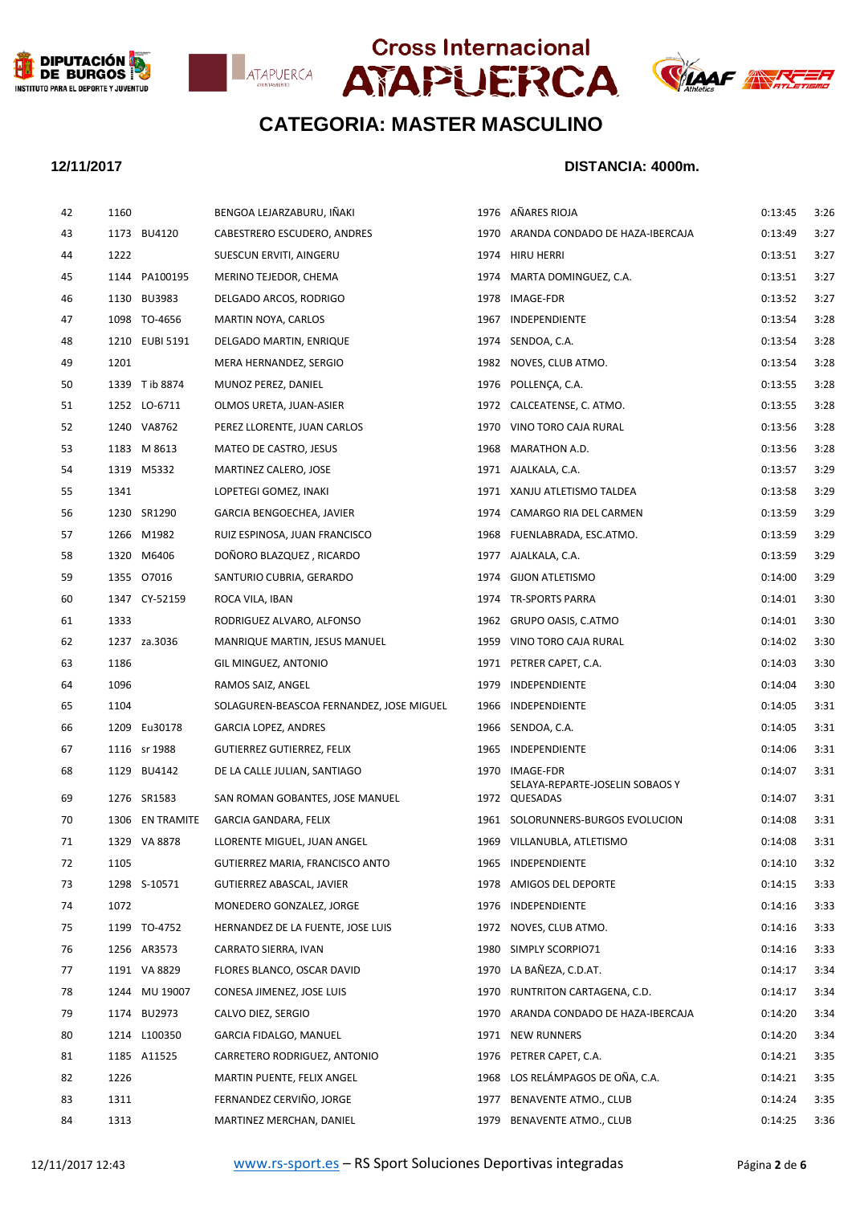







| 42 | 1160            | BENGOA LEJARZABURU, IÑAKI                |      | 1976 AÑARES RIOJA                                   | 0:13:45 | 3:26 |
|----|-----------------|------------------------------------------|------|-----------------------------------------------------|---------|------|
| 43 | 1173 BU4120     | CABESTRERO ESCUDERO, ANDRES              |      | 1970 ARANDA CONDADO DE HAZA-IBERCAJA                | 0:13:49 | 3:27 |
| 44 | 1222            | SUESCUN ERVITI, AINGERU                  |      | 1974 HIRU HERRI                                     | 0:13:51 | 3:27 |
| 45 | 1144 PA100195   | MERINO TEJEDOR, CHEMA                    |      | 1974 MARTA DOMINGUEZ, C.A.                          | 0:13:51 | 3:27 |
| 46 | 1130 BU3983     | DELGADO ARCOS, RODRIGO                   |      | 1978 IMAGE-FDR                                      | 0:13:52 | 3:27 |
| 47 | 1098 TO-4656    | MARTIN NOYA, CARLOS                      |      | 1967 INDEPENDIENTE                                  | 0:13:54 | 3:28 |
| 48 | 1210 EUBI 5191  | DELGADO MARTIN, ENRIQUE                  |      | 1974 SENDOA, C.A.                                   | 0:13:54 | 3:28 |
| 49 | 1201            | MERA HERNANDEZ, SERGIO                   |      | 1982 NOVES, CLUB ATMO.                              | 0:13:54 | 3:28 |
| 50 | 1339 T ib 8874  | MUNOZ PEREZ, DANIEL                      |      | 1976 POLLENCA, C.A.                                 | 0:13:55 | 3:28 |
| 51 | 1252 LO-6711    | OLMOS URETA, JUAN-ASIER                  |      | 1972 CALCEATENSE, C. ATMO.                          | 0:13:55 | 3:28 |
| 52 | 1240 VA8762     | PEREZ LLORENTE, JUAN CARLOS              |      | 1970 VINO TORO CAJA RURAL                           | 0:13:56 | 3:28 |
| 53 | 1183 M 8613     | MATEO DE CASTRO, JESUS                   |      | 1968 MARATHON A.D.                                  | 0:13:56 | 3:28 |
| 54 | 1319 M5332      | MARTINEZ CALERO, JOSE                    |      | 1971 AJALKALA, C.A.                                 | 0:13:57 | 3:29 |
| 55 | 1341            | LOPETEGI GOMEZ, INAKI                    |      | 1971 XANJU ATLETISMO TALDEA                         | 0:13:58 | 3:29 |
| 56 | 1230 SR1290     | GARCIA BENGOECHEA, JAVIER                |      | 1974 CAMARGO RIA DEL CARMEN                         | 0:13:59 | 3:29 |
| 57 | 1266 M1982      | RUIZ ESPINOSA, JUAN FRANCISCO            |      | 1968 FUENLABRADA, ESC.ATMO.                         | 0:13:59 | 3:29 |
| 58 | 1320 M6406      | DOÑORO BLAZQUEZ, RICARDO                 |      | 1977 AJALKALA, C.A.                                 | 0:13:59 | 3:29 |
| 59 | 1355 07016      | SANTURIO CUBRIA, GERARDO                 |      | 1974 GIJON ATLETISMO                                | 0:14:00 | 3:29 |
| 60 | 1347 CY-52159   | ROCA VILA, IBAN                          |      | 1974 TR-SPORTS PARRA                                | 0:14:01 | 3:30 |
| 61 | 1333            | RODRIGUEZ ALVARO, ALFONSO                |      | 1962 GRUPO OASIS, C.ATMO                            | 0:14:01 | 3:30 |
| 62 | 1237 za.3036    | MANRIQUE MARTIN, JESUS MANUEL            |      | 1959 VINO TORO CAJA RURAL                           | 0:14:02 | 3:30 |
| 63 | 1186            | GIL MINGUEZ, ANTONIO                     |      | 1971 PETRER CAPET, C.A.                             | 0:14:03 | 3:30 |
| 64 | 1096            | RAMOS SAIZ, ANGEL                        |      | 1979 INDEPENDIENTE                                  | 0:14:04 | 3:30 |
| 65 | 1104            | SOLAGUREN-BEASCOA FERNANDEZ, JOSE MIGUEL |      | 1966 INDEPENDIENTE                                  | 0:14:05 | 3:31 |
| 66 | 1209 Eu30178    | <b>GARCIA LOPEZ, ANDRES</b>              |      | 1966 SENDOA, C.A.                                   | 0:14:05 | 3:31 |
| 67 | 1116 sr 1988    | GUTIERREZ GUTIERREZ, FELIX               |      | 1965 INDEPENDIENTE                                  | 0:14:06 | 3:31 |
| 68 | 1129 BU4142     | DE LA CALLE JULIAN, SANTIAGO             | 1970 | <b>IMAGE-FDR</b><br>SELAYA-REPARTE-JOSELIN SOBAOS Y | 0:14:07 | 3:31 |
| 69 | 1276 SR1583     | SAN ROMAN GOBANTES, JOSE MANUEL          |      | 1972 QUESADAS                                       | 0:14:07 | 3:31 |
| 70 | 1306 EN TRAMITE | GARCIA GANDARA, FELIX                    |      | 1961 SOLORUNNERS-BURGOS EVOLUCION                   | 0:14:08 | 3:31 |
| 71 | 1329 VA 8878    | LLORENTE MIGUEL, JUAN ANGEL              |      | 1969 VILLANUBLA, ATLETISMO                          | 0:14:08 | 3:31 |
| 72 | 1105            | GUTIERREZ MARIA, FRANCISCO ANTO          | 1965 | INDEPENDIENTE                                       | 0:14:10 | 3:32 |
| 73 | 1298 S-10571    | GUTIERREZ ABASCAL, JAVIER                | 1978 | AMIGOS DEL DEPORTE                                  | 0:14:15 | 3:33 |
| 74 | 1072            | MONEDERO GONZALEZ, JORGE                 | 1976 | INDEPENDIENTE                                       | 0:14:16 | 3:33 |
| 75 | 1199 TO-4752    | HERNANDEZ DE LA FUENTE, JOSE LUIS        |      | 1972 NOVES, CLUB ATMO.                              | 0:14:16 | 3:33 |
| 76 | 1256 AR3573     | CARRATO SIERRA, IVAN                     | 1980 | SIMPLY SCORPIO71                                    | 0:14:16 | 3:33 |
| 77 | 1191 VA 8829    | FLORES BLANCO, OSCAR DAVID               | 1970 | LA BAÑEZA, C.D.AT.                                  | 0:14:17 | 3:34 |
| 78 | 1244 MU 19007   | CONESA JIMENEZ, JOSE LUIS                | 1970 | RUNTRITON CARTAGENA, C.D.                           | 0:14:17 | 3:34 |
| 79 | 1174 BU2973     | CALVO DIEZ, SERGIO                       |      | 1970 ARANDA CONDADO DE HAZA-IBERCAJA                | 0:14:20 | 3:34 |
| 80 | 1214 L100350    | GARCIA FIDALGO, MANUEL                   | 1971 | <b>NEW RUNNERS</b>                                  | 0:14:20 | 3:34 |
| 81 | 1185 A11525     | CARRETERO RODRIGUEZ, ANTONIO             | 1976 | PETRER CAPET, C.A.                                  | 0:14:21 | 3:35 |
| 82 | 1226            | MARTIN PUENTE, FELIX ANGEL               | 1968 | LOS RELÁMPAGOS DE OÑA, C.A.                         | 0:14:21 | 3:35 |
| 83 | 1311            | FERNANDEZ CERVIÑO, JORGE                 | 1977 | BENAVENTE ATMO., CLUB                               | 0:14:24 | 3:35 |
| 84 | 1313            | MARTINEZ MERCHAN, DANIEL                 | 1979 | BENAVENTE ATMO., CLUB                               | 0:14:25 | 3:36 |
|    |                 |                                          |      |                                                     |         |      |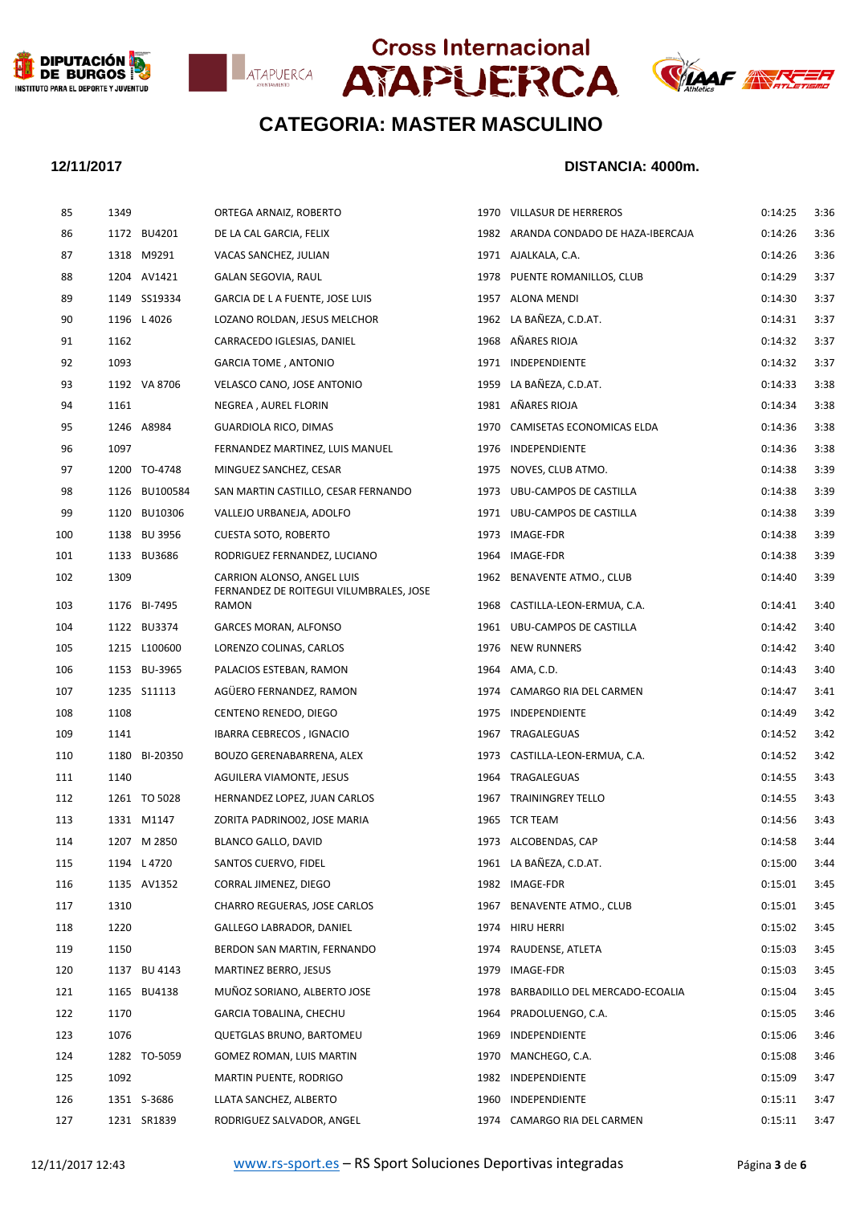







| 85  | 1349 |               | ORTEGA ARNAIZ, ROBERTO                                                |      | 1970 VILLASUR DE HERREROS            | 0:14:25 | 3:36 |
|-----|------|---------------|-----------------------------------------------------------------------|------|--------------------------------------|---------|------|
| 86  |      | 1172 BU4201   | DE LA CAL GARCIA, FELIX                                               |      | 1982 ARANDA CONDADO DE HAZA-IBERCAJA | 0:14:26 | 3:36 |
| 87  |      | 1318 M9291    | VACAS SANCHEZ, JULIAN                                                 |      | 1971 AJALKALA, C.A.                  | 0:14:26 | 3:36 |
| 88  |      | 1204 AV1421   | GALAN SEGOVIA, RAUL                                                   |      | 1978 PUENTE ROMANILLOS, CLUB         | 0:14:29 | 3:37 |
| 89  |      | 1149 SS19334  | GARCIA DE LA FUENTE, JOSE LUIS                                        |      | 1957 ALONA MENDI                     | 0:14:30 | 3:37 |
| 90  |      | 1196 L 4026   | LOZANO ROLDAN, JESUS MELCHOR                                          |      | 1962 LA BAÑEZA, C.D.AT.              | 0:14:31 | 3:37 |
| 91  | 1162 |               | CARRACEDO IGLESIAS, DANIEL                                            |      | 1968 AÑARES RIOJA                    | 0:14:32 | 3:37 |
| 92  | 1093 |               | <b>GARCIA TOME, ANTONIO</b>                                           |      | 1971 INDEPENDIENTE                   | 0:14:32 | 3:37 |
| 93  |      | 1192 VA 8706  | VELASCO CANO, JOSE ANTONIO                                            |      | 1959 LA BAÑEZA, C.D.AT.              | 0:14:33 | 3:38 |
| 94  | 1161 |               | NEGREA, AUREL FLORIN                                                  |      | 1981 AÑARES RIOJA                    | 0:14:34 | 3:38 |
| 95  |      | 1246 A8984    | <b>GUARDIOLA RICO, DIMAS</b>                                          |      | 1970 CAMISETAS ECONOMICAS ELDA       | 0:14:36 | 3:38 |
| 96  | 1097 |               | FERNANDEZ MARTINEZ, LUIS MANUEL                                       |      | 1976 INDEPENDIENTE                   | 0:14:36 | 3:38 |
| 97  |      | 1200 TO-4748  | MINGUEZ SANCHEZ, CESAR                                                |      | 1975 NOVES, CLUB ATMO.               | 0:14:38 | 3:39 |
| 98  |      | 1126 BU100584 | SAN MARTIN CASTILLO, CESAR FERNANDO                                   |      | 1973 UBU-CAMPOS DE CASTILLA          | 0:14:38 | 3:39 |
| 99  |      | 1120 BU10306  | VALLEJO URBANEJA, ADOLFO                                              |      | 1971 UBU-CAMPOS DE CASTILLA          | 0:14:38 | 3:39 |
| 100 |      | 1138 BU 3956  | <b>CUESTA SOTO, ROBERTO</b>                                           |      | 1973 IMAGE-FDR                       | 0:14:38 | 3:39 |
| 101 |      | 1133 BU3686   | RODRIGUEZ FERNANDEZ, LUCIANO                                          |      | 1964 IMAGE-FDR                       | 0:14:38 | 3:39 |
| 102 | 1309 |               | CARRION ALONSO, ANGEL LUIS<br>FERNANDEZ DE ROITEGUI VILUMBRALES, JOSE |      | 1962 BENAVENTE ATMO., CLUB           | 0:14:40 | 3:39 |
| 103 |      | 1176 BI-7495  | RAMON                                                                 |      | 1968 CASTILLA-LEON-ERMUA, C.A.       | 0:14:41 | 3:40 |
| 104 |      | 1122 BU3374   | <b>GARCES MORAN, ALFONSO</b>                                          |      | 1961 UBU-CAMPOS DE CASTILLA          | 0:14:42 | 3:40 |
| 105 |      | 1215 L100600  | LORENZO COLINAS, CARLOS                                               |      | 1976 NEW RUNNERS                     | 0:14:42 | 3:40 |
| 106 |      | 1153 BU-3965  | PALACIOS ESTEBAN, RAMON                                               |      | 1964 AMA, C.D.                       | 0:14:43 | 3:40 |
| 107 |      | 1235 S11113   | AGÜERO FERNANDEZ, RAMON                                               |      | 1974 CAMARGO RIA DEL CARMEN          | 0:14:47 | 3:41 |
| 108 | 1108 |               | CENTENO RENEDO, DIEGO                                                 |      | 1975 INDEPENDIENTE                   | 0:14:49 | 3:42 |
| 109 | 1141 |               | IBARRA CEBRECOS, IGNACIO                                              |      | 1967 TRAGALEGUAS                     | 0:14:52 | 3:42 |
| 110 |      | 1180 BI-20350 | BOUZO GERENABARRENA, ALEX                                             |      | 1973 CASTILLA-LEON-ERMUA, C.A.       | 0:14:52 | 3:42 |
| 111 | 1140 |               | AGUILERA VIAMONTE, JESUS                                              |      | 1964 TRAGALEGUAS                     | 0:14:55 | 3:43 |
| 112 |      | 1261 TO 5028  | HERNANDEZ LOPEZ, JUAN CARLOS                                          |      | 1967 TRAININGREY TELLO               | 0:14:55 | 3:43 |
| 113 |      | 1331 M1147    | ZORITA PADRINO02, JOSE MARIA                                          |      | 1965 TCR TEAM                        | 0:14:56 | 3:43 |
| 114 |      | 1207 M 2850   | BLANCO GALLO, DAVID                                                   |      | 1973 ALCOBENDAS, CAP                 | 0:14:58 | 3:44 |
| 115 |      | 1194 L 4720   | SANTOS CUERVO, FIDEL                                                  |      | 1961 LA BAÑEZA, C.D.AT.              | 0:15:00 | 3:44 |
| 116 |      | 1135 AV1352   | CORRAL JIMENEZ, DIEGO                                                 |      | 1982 IMAGE-FDR                       | 0:15:01 | 3:45 |
| 117 | 1310 |               | CHARRO REGUERAS, JOSE CARLOS                                          | 1967 | BENAVENTE ATMO., CLUB                | 0:15:01 | 3:45 |
| 118 | 1220 |               | GALLEGO LABRADOR, DANIEL                                              |      | 1974 HIRU HERRI                      | 0:15:02 | 3:45 |
| 119 | 1150 |               | BERDON SAN MARTIN, FERNANDO                                           |      | 1974 RAUDENSE, ATLETA                | 0:15:03 | 3:45 |
| 120 |      | 1137 BU 4143  | MARTINEZ BERRO, JESUS                                                 | 1979 | IMAGE-FDR                            | 0:15:03 | 3:45 |
| 121 |      | 1165 BU4138   | MUÑOZ SORIANO, ALBERTO JOSE                                           | 1978 | BARBADILLO DEL MERCADO-ECOALIA       | 0:15:04 | 3:45 |
| 122 | 1170 |               | GARCIA TOBALINA, CHECHU                                               |      | 1964 PRADOLUENGO, C.A.               | 0:15:05 | 3:46 |
| 123 | 1076 |               | QUETGLAS BRUNO, BARTOMEU                                              | 1969 | INDEPENDIENTE                        | 0:15:06 | 3:46 |
| 124 |      | 1282 TO-5059  | GOMEZ ROMAN, LUIS MARTIN                                              | 1970 | MANCHEGO, C.A.                       | 0:15:08 | 3:46 |
| 125 | 1092 |               | MARTIN PUENTE, RODRIGO                                                |      | 1982 INDEPENDIENTE                   | 0:15:09 | 3:47 |
| 126 |      | 1351 S-3686   | LLATA SANCHEZ, ALBERTO                                                |      | 1960 INDEPENDIENTE                   | 0:15:11 | 3:47 |
| 127 |      | 1231 SR1839   | RODRIGUEZ SALVADOR, ANGEL                                             |      | 1974 CAMARGO RIA DEL CARMEN          | 0:15:11 | 3:47 |
|     |      |               |                                                                       |      |                                      |         |      |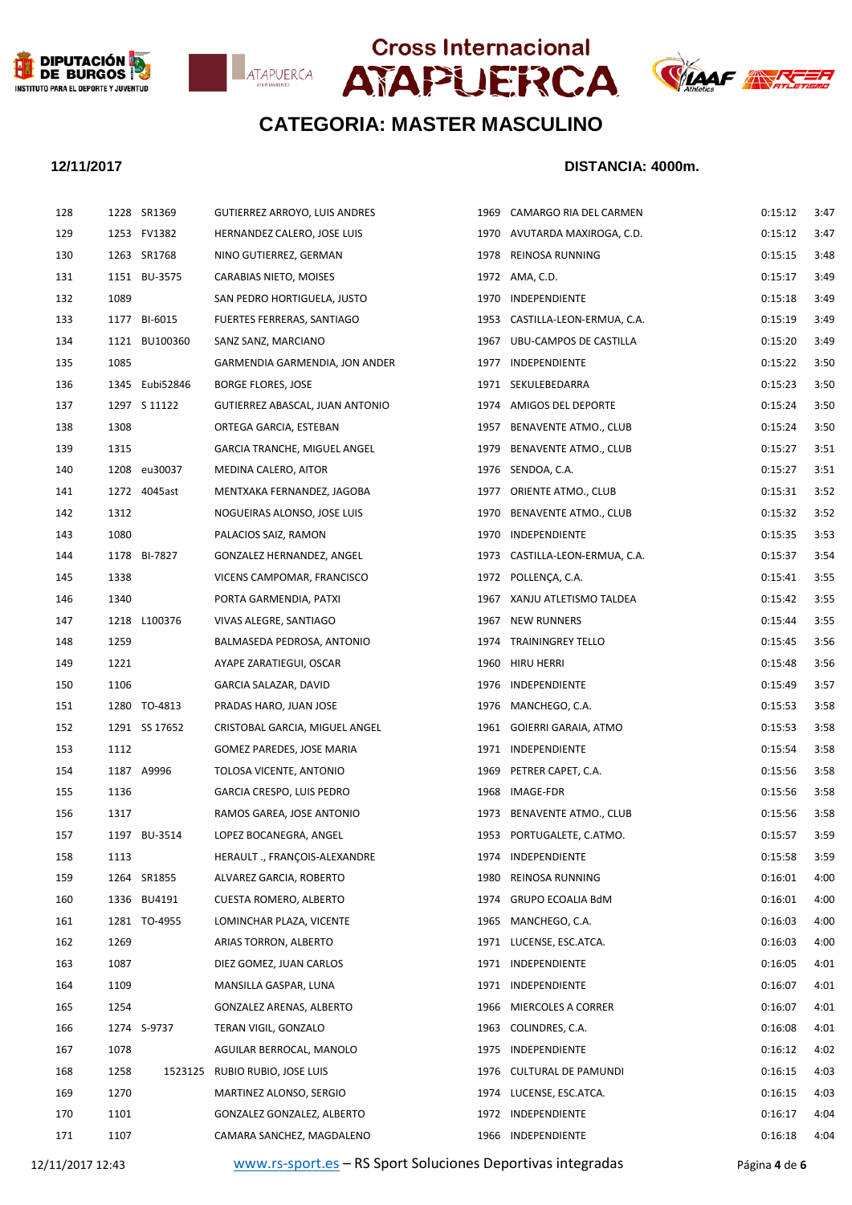







### **12/11/2017 DISTANCIA: 4000m.**

| 128 |      | 1228 SR1369    | GUTIERREZ ARROYO, LUIS ANDRES   |      | 1969 CAMARGO RIA DEL CARMEN    | 0:15:12 | 3:47 |
|-----|------|----------------|---------------------------------|------|--------------------------------|---------|------|
| 129 |      | 1253 FV1382    | HERNANDEZ CALERO, JOSE LUIS     |      | 1970 AVUTARDA MAXIROGA, C.D.   | 0:15:12 | 3:47 |
| 130 |      | 1263 SR1768    | NINO GUTIERREZ, GERMAN          |      | 1978 REINOSA RUNNING           | 0:15:15 | 3:48 |
| 131 |      | 1151 BU-3575   | CARABIAS NIETO, MOISES          |      | 1972 AMA, C.D.                 | 0:15:17 | 3:49 |
| 132 | 1089 |                | SAN PEDRO HORTIGUELA, JUSTO     |      | 1970 INDEPENDIENTE             | 0:15:18 | 3:49 |
| 133 |      | 1177 BI-6015   | FUERTES FERRERAS, SANTIAGO      |      | 1953 CASTILLA-LEON-ERMUA, C.A. | 0:15:19 | 3:49 |
| 134 |      | 1121 BU100360  | SANZ SANZ, MARCIANO             |      | 1967 UBU-CAMPOS DE CASTILLA    | 0:15:20 | 3:49 |
| 135 | 1085 |                | GARMENDIA GARMENDIA, JON ANDER  |      | 1977 INDEPENDIENTE             | 0:15:22 | 3:50 |
| 136 |      | 1345 Eubi52846 | <b>BORGE FLORES, JOSE</b>       |      | 1971 SEKULEBEDARRA             | 0:15:23 | 3:50 |
| 137 |      | 1297 S 11122   | GUTIERREZ ABASCAL, JUAN ANTONIO |      | 1974 AMIGOS DEL DEPORTE        | 0:15:24 | 3:50 |
| 138 | 1308 |                | ORTEGA GARCIA, ESTEBAN          | 1957 | BENAVENTE ATMO., CLUB          | 0:15:24 | 3:50 |
| 139 | 1315 |                | GARCIA TRANCHE, MIGUEL ANGEL    | 1979 | BENAVENTE ATMO., CLUB          | 0:15:27 | 3:51 |
| 140 |      | 1208 eu30037   | MEDINA CALERO, AITOR            |      | 1976 SENDOA, C.A.              | 0:15:27 | 3:51 |
| 141 |      | 1272 4045ast   | MENTXAKA FERNANDEZ, JAGOBA      |      | 1977 ORIENTE ATMO., CLUB       | 0:15:31 | 3:52 |
| 142 | 1312 |                | NOGUEIRAS ALONSO, JOSE LUIS     | 1970 | BENAVENTE ATMO., CLUB          | 0:15:32 | 3:52 |
| 143 | 1080 |                | PALACIOS SAIZ, RAMON            |      | 1970 INDEPENDIENTE             | 0:15:35 | 3:53 |
| 144 |      | 1178 BI-7827   | GONZALEZ HERNANDEZ, ANGEL       |      | 1973 CASTILLA-LEON-ERMUA, C.A. | 0:15:37 | 3:54 |
| 145 | 1338 |                | VICENS CAMPOMAR, FRANCISCO      |      | 1972 POLLENÇA, C.A.            | 0:15:41 | 3:55 |
| 146 | 1340 |                | PORTA GARMENDIA, PATXI          |      | 1967 XANJU ATLETISMO TALDEA    | 0:15:42 | 3:55 |
| 147 |      | 1218 L100376   | VIVAS ALEGRE, SANTIAGO          | 1967 | <b>NEW RUNNERS</b>             | 0:15:44 | 3:55 |
| 148 | 1259 |                | BALMASEDA PEDROSA, ANTONIO      |      | 1974 TRAININGREY TELLO         | 0:15:45 | 3:56 |
| 149 | 1221 |                | AYAPE ZARATIEGUI, OSCAR         |      | 1960 HIRU HERRI                | 0:15:48 | 3:56 |
| 150 | 1106 |                | GARCIA SALAZAR, DAVID           |      | 1976 INDEPENDIENTE             | 0:15:49 | 3:57 |
| 151 |      | 1280 TO-4813   | PRADAS HARO, JUAN JOSE          |      | 1976 MANCHEGO, C.A.            | 0:15:53 | 3:58 |
| 152 |      | 1291 SS 17652  | CRISTOBAL GARCIA, MIGUEL ANGEL  |      | 1961 GOIERRI GARAIA, ATMO      | 0:15:53 | 3:58 |
| 153 | 1112 |                | GOMEZ PAREDES, JOSE MARIA       |      | 1971 INDEPENDIENTE             | 0:15:54 | 3:58 |
| 154 |      | 1187 A9996     | TOLOSA VICENTE, ANTONIO         | 1969 | PETRER CAPET, C.A.             | 0:15:56 | 3:58 |
| 155 | 1136 |                | GARCIA CRESPO, LUIS PEDRO       |      | 1968 IMAGE-FDR                 | 0:15:56 | 3:58 |
| 156 | 1317 |                | RAMOS GAREA, JOSE ANTONIO       | 1973 | BENAVENTE ATMO., CLUB          | 0:15:56 | 3:58 |
| 157 |      | 1197 BU-3514   | LOPEZ BOCANEGRA, ANGEL          |      | 1953 PORTUGALETE, C.ATMO.      | 0:15:57 | 3:59 |
| 158 | 1113 |                | HERAULT ., FRANÇOIS-ALEXANDRE   |      | 1974 INDEPENDIENTE             | 0:15:58 | 3:59 |
| 159 |      | 1264 SR1855    | ALVAREZ GARCIA, ROBERTO         | 1980 | REINOSA RUNNING                | 0:16:01 | 4:00 |
| 160 |      | 1336 BU4191    | CUESTA ROMERO, ALBERTO          | 1974 | <b>GRUPO ECOALIA BdM</b>       | 0:16:01 | 4:00 |
| 161 |      | 1281 TO-4955   | LOMINCHAR PLAZA, VICENTE        | 1965 | MANCHEGO, C.A.                 | 0:16:03 | 4:00 |
| 162 | 1269 |                | ARIAS TORRON, ALBERTO           |      | 1971 LUCENSE, ESC.ATCA.        | 0:16:03 | 4:00 |
| 163 | 1087 |                | DIEZ GOMEZ, JUAN CARLOS         |      | 1971 INDEPENDIENTE             | 0:16:05 | 4:01 |
| 164 | 1109 |                | MANSILLA GASPAR, LUNA           | 1971 | INDEPENDIENTE                  | 0:16:07 | 4:01 |
| 165 | 1254 |                | GONZALEZ ARENAS, ALBERTO        |      | 1966 MIERCOLES A CORRER        | 0:16:07 | 4:01 |
| 166 |      | 1274 S-9737    | TERAN VIGIL, GONZALO            | 1963 | COLINDRES, C.A.                | 0:16:08 | 4:01 |
| 167 | 1078 |                | AGUILAR BERROCAL, MANOLO        | 1975 | INDEPENDIENTE                  | 0:16:12 | 4:02 |
| 168 | 1258 |                | 1523125 RUBIO RUBIO, JOSE LUIS  |      | 1976 CULTURAL DE PAMUNDI       | 0:16:15 | 4:03 |
| 169 | 1270 |                | MARTINEZ ALONSO, SERGIO         |      | 1974 LUCENSE, ESC.ATCA.        | 0:16:15 | 4:03 |
| 170 | 1101 |                | GONZALEZ GONZALEZ, ALBERTO      |      | 1972 INDEPENDIENTE             | 0:16:17 | 4:04 |
| 171 | 1107 |                | CAMARA SANCHEZ, MAGDALENO       |      | 1966 INDEPENDIENTE             | 0:16:18 | 4:04 |
|     |      |                |                                 |      |                                |         |      |

12/11/2017 12:43 [www.rs-sport.es](http://www.rs-sport.es/) – RS Sport Soluciones Deportivas integradas Página **4** de **6**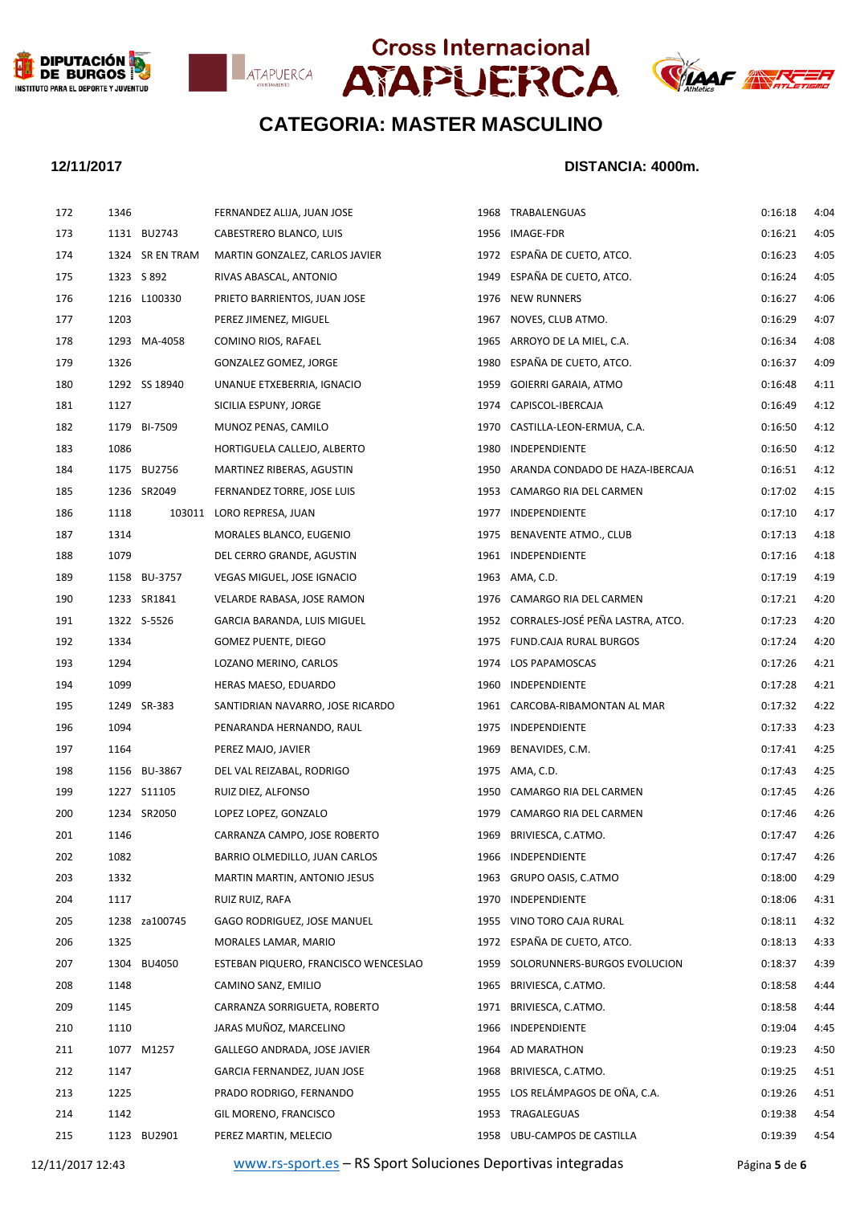







### **12/11/2017 DISTANCIA: 4000m.**

| 172 | 1346 |                 | FERNANDEZ ALIJA, JUAN JOSE           |      | 1968 TRABALENGUAS                     | 0:16:18 | 4:04 |
|-----|------|-----------------|--------------------------------------|------|---------------------------------------|---------|------|
| 173 |      | 1131 BU2743     | CABESTRERO BLANCO, LUIS              |      | 1956 IMAGE-FDR                        | 0:16:21 | 4:05 |
| 174 |      | 1324 SR EN TRAM | MARTIN GONZALEZ, CARLOS JAVIER       |      | 1972 ESPAÑA DE CUETO, ATCO.           | 0:16:23 | 4:05 |
| 175 |      | 1323 S 892      | RIVAS ABASCAL, ANTONIO               |      | 1949 ESPAÑA DE CUETO, ATCO.           | 0:16:24 | 4:05 |
| 176 |      | 1216 L100330    | PRIETO BARRIENTOS, JUAN JOSE         |      | 1976 NEW RUNNERS                      | 0:16:27 | 4:06 |
| 177 | 1203 |                 | PEREZ JIMENEZ, MIGUEL                |      | 1967 NOVES, CLUB ATMO.                | 0:16:29 | 4:07 |
| 178 |      | 1293 MA-4058    | COMINO RIOS, RAFAEL                  |      | 1965 ARROYO DE LA MIEL, C.A.          | 0:16:34 | 4:08 |
| 179 | 1326 |                 | GONZALEZ GOMEZ, JORGE                |      | 1980 ESPAÑA DE CUETO, ATCO.           | 0:16:37 | 4:09 |
| 180 |      | 1292 SS 18940   | UNANUE ETXEBERRIA, IGNACIO           |      | 1959 GOIERRI GARAIA, ATMO             | 0:16:48 | 4:11 |
| 181 | 1127 |                 | SICILIA ESPUNY, JORGE                |      | 1974 CAPISCOL-IBERCAJA                | 0:16:49 | 4:12 |
| 182 |      | 1179 BI-7509    | MUNOZ PENAS, CAMILO                  |      | 1970 CASTILLA-LEON-ERMUA, C.A.        | 0:16:50 | 4:12 |
| 183 | 1086 |                 | HORTIGUELA CALLEJO, ALBERTO          |      | 1980 INDEPENDIENTE                    | 0:16:50 | 4:12 |
| 184 |      | 1175 BU2756     | MARTINEZ RIBERAS, AGUSTIN            |      | 1950 ARANDA CONDADO DE HAZA-IBERCAJA  | 0:16:51 | 4:12 |
| 185 |      | 1236 SR2049     | FERNANDEZ TORRE, JOSE LUIS           |      | 1953 CAMARGO RIA DEL CARMEN           | 0:17:02 | 4:15 |
| 186 | 1118 |                 | 103011 LORO REPRESA, JUAN            |      | 1977 INDEPENDIENTE                    | 0:17:10 | 4:17 |
| 187 | 1314 |                 | MORALES BLANCO, EUGENIO              |      | 1975 BENAVENTE ATMO., CLUB            | 0:17:13 | 4:18 |
| 188 | 1079 |                 | DEL CERRO GRANDE, AGUSTIN            |      | 1961 INDEPENDIENTE                    | 0:17:16 | 4:18 |
| 189 |      | 1158 BU-3757    | VEGAS MIGUEL, JOSE IGNACIO           |      | 1963 AMA, C.D.                        | 0:17:19 | 4:19 |
| 190 |      | 1233 SR1841     | VELARDE RABASA, JOSE RAMON           |      | 1976 CAMARGO RIA DEL CARMEN           | 0:17:21 | 4:20 |
| 191 |      | 1322 S-5526     | GARCIA BARANDA, LUIS MIGUEL          |      | 1952 CORRALES-JOSÉ PEÑA LASTRA, ATCO. | 0:17:23 | 4:20 |
| 192 | 1334 |                 | GOMEZ PUENTE, DIEGO                  |      | 1975 FUND.CAJA RURAL BURGOS           | 0:17:24 | 4:20 |
| 193 | 1294 |                 | LOZANO MERINO, CARLOS                |      | 1974 LOS PAPAMOSCAS                   | 0:17:26 | 4:21 |
| 194 | 1099 |                 | HERAS MAESO, EDUARDO                 |      | 1960 INDEPENDIENTE                    | 0:17:28 | 4:21 |
| 195 |      | 1249 SR-383     | SANTIDRIAN NAVARRO, JOSE RICARDO     |      | 1961 CARCOBA-RIBAMONTAN AL MAR        | 0:17:32 | 4:22 |
| 196 | 1094 |                 | PENARANDA HERNANDO, RAUL             |      | 1975 INDEPENDIENTE                    | 0:17:33 | 4:23 |
| 197 | 1164 |                 | PEREZ MAJO, JAVIER                   |      | 1969 BENAVIDES, C.M.                  | 0:17:41 | 4:25 |
| 198 |      | 1156 BU-3867    | DEL VAL REIZABAL, RODRIGO            |      | 1975 AMA, C.D.                        | 0:17:43 | 4:25 |
| 199 |      | 1227 S11105     | RUIZ DIEZ, ALFONSO                   |      | 1950 CAMARGO RIA DEL CARMEN           | 0:17:45 | 4:26 |
| 200 |      | 1234 SR2050     | LOPEZ LOPEZ, GONZALO                 |      | 1979 CAMARGO RIA DEL CARMEN           | 0:17:46 | 4:26 |
| 201 | 1146 |                 | CARRANZA CAMPO, JOSE ROBERTO         |      | 1969 BRIVIESCA, C.ATMO.               | 0:17:47 | 4:26 |
| 202 | 1082 |                 | BARRIO OLMEDILLO, JUAN CARLOS        |      | 1966 INDEPENDIENTE                    | 0:17:47 | 4:26 |
| 203 | 1332 |                 | MARTIN MARTIN, ANTONIO JESUS         |      | 1963 GRUPO OASIS, C.ATMO              | 0:18:00 | 4:29 |
| 204 | 1117 |                 | RUIZ RUIZ, RAFA                      | 1970 | INDEPENDIENTE                         | 0:18:06 | 4:31 |
| 205 |      | 1238 za100745   | GAGO RODRIGUEZ, JOSE MANUEL          |      | 1955 VINO TORO CAJA RURAL             | 0:18:11 | 4:32 |
| 206 | 1325 |                 | MORALES LAMAR, MARIO                 | 1972 | ESPAÑA DE CUETO, ATCO.                | 0:18:13 | 4:33 |
| 207 |      | 1304 BU4050     | ESTEBAN PIQUERO, FRANCISCO WENCESLAO |      | 1959 SOLORUNNERS-BURGOS EVOLUCION     | 0:18:37 | 4:39 |
| 208 | 1148 |                 | CAMINO SANZ, EMILIO                  | 1965 | BRIVIESCA, C.ATMO.                    | 0:18:58 | 4:44 |
| 209 | 1145 |                 | CARRANZA SORRIGUETA, ROBERTO         | 1971 | BRIVIESCA, C.ATMO.                    | 0:18:58 | 4:44 |
| 210 | 1110 |                 | JARAS MUÑOZ, MARCELINO               | 1966 | INDEPENDIENTE                         | 0:19:04 | 4:45 |
| 211 |      | 1077 M1257      | GALLEGO ANDRADA, JOSE JAVIER         |      | 1964 AD MARATHON                      | 0:19:23 | 4:50 |
| 212 | 1147 |                 | GARCIA FERNANDEZ, JUAN JOSE          | 1968 | BRIVIESCA, C.ATMO.                    | 0:19:25 | 4:51 |
| 213 | 1225 |                 | PRADO RODRIGO, FERNANDO              |      | 1955 LOS RELÁMPAGOS DE OÑA, C.A.      | 0:19:26 | 4:51 |
| 214 | 1142 |                 | GIL MORENO, FRANCISCO                |      | 1953 TRAGALEGUAS                      | 0:19:38 | 4:54 |
| 215 |      | 1123 BU2901     | PEREZ MARTIN, MELECIO                |      | 1958 UBU-CAMPOS DE CASTILLA           | 0:19:39 | 4:54 |
|     |      |                 |                                      |      |                                       |         |      |

12/11/2017 12:43 [www.rs-sport.es](http://www.rs-sport.es/) – RS Sport Soluciones Deportivas integradas Página **5** de **6**